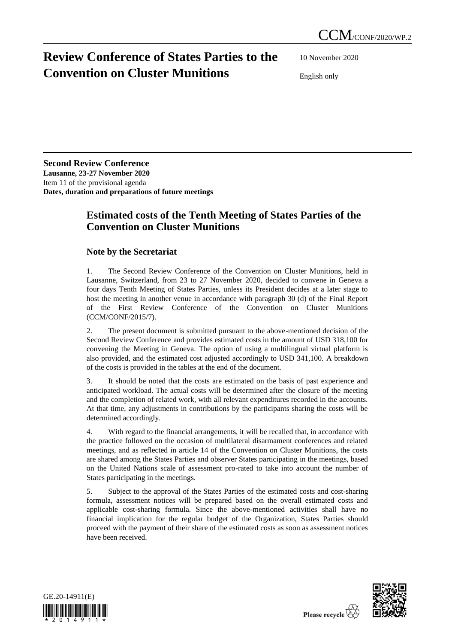## **Review Conference of States Parties to the Convention on Cluster Munitions**

10 November 2020

English only

**Second Review Conference Lausanne, 23-27 November 2020** Item 11 of the provisional agenda **Dates, duration and preparations of future meetings**

## **Estimated costs of the Tenth Meeting of States Parties of the Convention on Cluster Munitions**

## **Note by the Secretariat**

1. The Second Review Conference of the Convention on Cluster Munitions, held in Lausanne, Switzerland, from 23 to 27 November 2020, decided to convene in Geneva a four days Tenth Meeting of States Parties, unless its President decides at a later stage to host the meeting in another venue in accordance with paragraph 30 (d) of the Final Report of the First Review Conference of the Convention on Cluster Munitions (CCM/CONF/2015/7).

2. The present document is submitted pursuant to the above-mentioned decision of the Second Review Conference and provides estimated costs in the amount of USD 318,100 for convening the Meeting in Geneva. The option of using a multilingual virtual platform is also provided, and the estimated cost adjusted accordingly to USD 341,100. A breakdown of the costs is provided in the tables at the end of the document.

3. It should be noted that the costs are estimated on the basis of past experience and anticipated workload. The actual costs will be determined after the closure of the meeting and the completion of related work, with all relevant expenditures recorded in the accounts. At that time, any adjustments in contributions by the participants sharing the costs will be determined accordingly.

4. With regard to the financial arrangements, it will be recalled that, in accordance with the practice followed on the occasion of multilateral disarmament conferences and related meetings, and as reflected in article 14 of the Convention on Cluster Munitions, the costs are shared among the States Parties and observer States participating in the meetings, based on the United Nations scale of assessment pro-rated to take into account the number of States participating in the meetings.

5. Subject to the approval of the States Parties of the estimated costs and cost-sharing formula, assessment notices will be prepared based on the overall estimated costs and applicable cost-sharing formula. Since the above-mentioned activities shall have no financial implication for the regular budget of the Organization, States Parties should proceed with the payment of their share of the estimated costs as soon as assessment notices have been received.



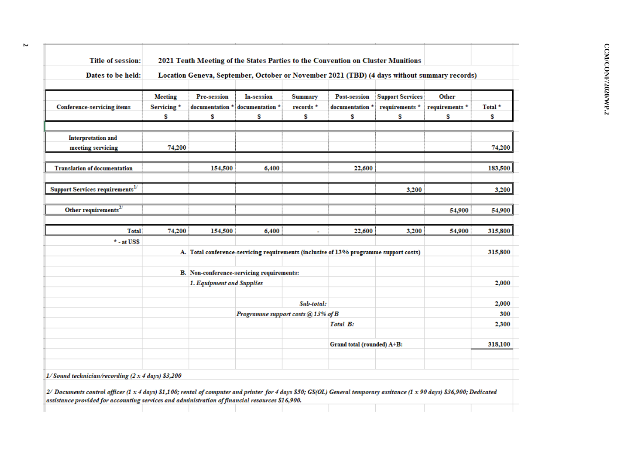| Dates to be held:                                                  | Location Geneva, September, October or November 2021 (TBD) (4 days without summary records) |                                           |                                                                                       |                             |                                 |                                           |                         |         |  |  |
|--------------------------------------------------------------------|---------------------------------------------------------------------------------------------|-------------------------------------------|---------------------------------------------------------------------------------------|-----------------------------|---------------------------------|-------------------------------------------|-------------------------|---------|--|--|
| <b>Conference-servicing items</b>                                  | <b>Meeting</b><br>Servicing*                                                                | Pre-session<br>documentation *            | In-session<br>documentation *                                                         | <b>Summary</b><br>records * | Post-session<br>documentation * | <b>Support Services</b><br>requirements * | Other<br>requirements * | Total * |  |  |
|                                                                    | s                                                                                           | \$                                        | s                                                                                     | s                           | s                               | \$                                        | S                       | s       |  |  |
| <b>Interpretation and</b>                                          |                                                                                             |                                           |                                                                                       |                             |                                 |                                           |                         |         |  |  |
| meeting servicing                                                  | 74,200                                                                                      |                                           |                                                                                       |                             |                                 |                                           |                         | 74,200  |  |  |
| <b>Translation of documentation</b>                                |                                                                                             | 154,500                                   | 6,400                                                                                 |                             | 22,600                          |                                           |                         | 183,500 |  |  |
| Support Services requirements <sup>1/</sup>                        |                                                                                             |                                           |                                                                                       |                             |                                 | 3,200                                     |                         | 3,200   |  |  |
| Other requirements $^{2/}$                                         |                                                                                             |                                           |                                                                                       |                             |                                 |                                           | 54,900                  | 54,900  |  |  |
| <b>Total</b>                                                       | 74,200                                                                                      | 154,500                                   | 6,400                                                                                 | $\overline{\phantom{a}}$    | 22,600                          | 3,200                                     | 54,900                  | 315,800 |  |  |
| * - at US\$                                                        |                                                                                             |                                           |                                                                                       |                             |                                 |                                           |                         |         |  |  |
|                                                                    |                                                                                             |                                           | A. Total conference-servicing requirements (inclusive of 13% programme support costs) |                             |                                 |                                           |                         | 315,800 |  |  |
|                                                                    |                                                                                             | B. Non-conference-servicing requirements: |                                                                                       |                             |                                 |                                           |                         |         |  |  |
|                                                                    |                                                                                             | 1. Equipment and Supplies                 |                                                                                       |                             |                                 |                                           |                         | 2,000   |  |  |
|                                                                    |                                                                                             |                                           |                                                                                       | Sub-total:                  |                                 |                                           |                         | 2,000   |  |  |
|                                                                    |                                                                                             | Programme support costs @ 13% of B        |                                                                                       |                             |                                 |                                           | 300                     |         |  |  |
|                                                                    |                                                                                             |                                           |                                                                                       |                             | Total B:                        |                                           |                         | 2,300   |  |  |
|                                                                    |                                                                                             |                                           |                                                                                       | Grand total (rounded) A+B:  |                                 |                                           |                         | 318,100 |  |  |
|                                                                    |                                                                                             |                                           |                                                                                       |                             |                                 |                                           |                         |         |  |  |
| $1/Sound$ technician/recording $(2 \times 4 \text{ days})$ \$3,200 |                                                                                             |                                           |                                                                                       |                             |                                 |                                           |                         |         |  |  |

**2**